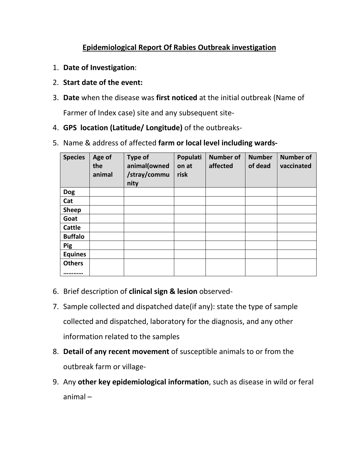## **Epidemiological Report Of Rabies Outbreak investigation**

- 1. **Date of Investigation**:
- 2. **Start date of the event:**
- 3. **Date** when the disease was **first noticed** at the initial outbreak (Name of

Farmer of Index case) site and any subsequent site-

- 4. **GPS location (Latitude/ Longitude)** of the outbreaks-
- 5. Name & address of affected **farm or local level including wards-**

| <b>Species</b> | Age of<br>the<br>animal | <b>Type of</b><br>animal(owned<br>/stray/commu<br>nity | Populati<br>on at<br>risk | <b>Number of</b><br>affected | <b>Number</b><br>of dead | <b>Number of</b><br>vaccinated |
|----------------|-------------------------|--------------------------------------------------------|---------------------------|------------------------------|--------------------------|--------------------------------|
| <b>Dog</b>     |                         |                                                        |                           |                              |                          |                                |
| Cat            |                         |                                                        |                           |                              |                          |                                |
| <b>Sheep</b>   |                         |                                                        |                           |                              |                          |                                |
| Goat           |                         |                                                        |                           |                              |                          |                                |
| <b>Cattle</b>  |                         |                                                        |                           |                              |                          |                                |
| <b>Buffalo</b> |                         |                                                        |                           |                              |                          |                                |
| <b>Pig</b>     |                         |                                                        |                           |                              |                          |                                |
| <b>Equines</b> |                         |                                                        |                           |                              |                          |                                |
| <b>Others</b>  |                         |                                                        |                           |                              |                          |                                |
|                |                         |                                                        |                           |                              |                          |                                |

- 6. Brief description of **clinical sign & lesion** observed-
- 7. Sample collected and dispatched date(if any): state the type of sample collected and dispatched, laboratory for the diagnosis, and any other information related to the samples
- 8. **Detail of any recent movement** of susceptible animals to or from the outbreak farm or village-
- 9. Any **other key epidemiological information**, such as disease in wild or feral animal –